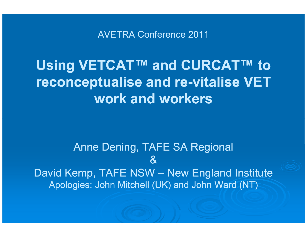AVETRA Conference 2011

### Using VETCAT™ and CURCAT™ to reconceptualise and re-vitalise VET work and workers

Anne Dening, TAFE SA Regional $\mathbf{\alpha}$ David Kemp, TAFE NSW – New England Institute<br>Analogias: Jahn Mitabell (UK) and Jahn Ward (NT) Apologies: John Mitchell (UK) and John Ward (NT)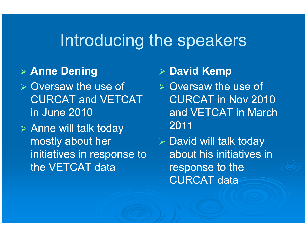## Introducing the speakers

#### Anne Dening

- Diversaw the use of CURCAT and VETCAT in June 2010
- Anne will talk today mostly about her initiatives in response to the VETCAT data

## **≽ David Kemp**

- Diversaw the use of CURCAT in Nov 2010 and VETCAT in March 2011
- > David will talk today about his initiatives in response to the CURCAT data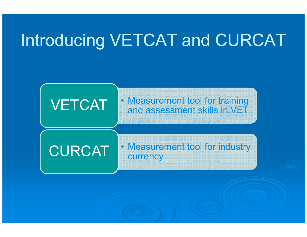# Introducing VETCAT and CURCAT

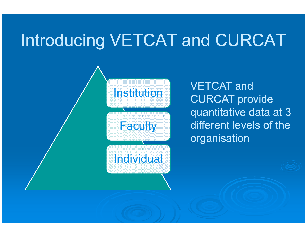## Introducing VETCAT and CURCAT



VETCAT and CURCAT provide quantitative data at 3 different levels of the organisation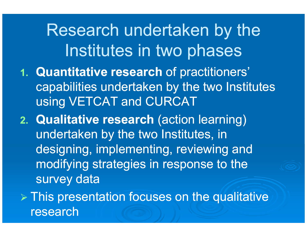Research undertaken by the Institutes in two phases

- 1. Quantitative research of practitioners' capabilities undertaken by the two Institutes using VETCAT and CURCAT
- 2. Qualitative research (action learning) undertaken by the two Institutes, in designing, implementing, reviewing and modifying strategies in response to the survey data

> This presentation focuses on the qualitative research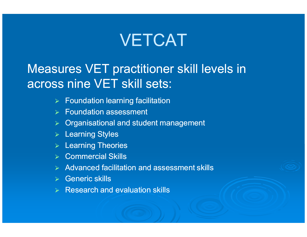## **VETCAT**

#### Measures VET practitioner skill levels in across nine VET skill sets:

- $\blacktriangleright$ Foundation learning facilitation
- **▶ Foundation assessment**
- **▶ Organisational and student management**
- **▶ Learning Styles**
- $\triangleright$  Learning Theories
- Commercial Skills
- $\triangleright$  Advanced facilitation and assessment skills
- Generic skills
- $\triangleright$  Research and evaluation skills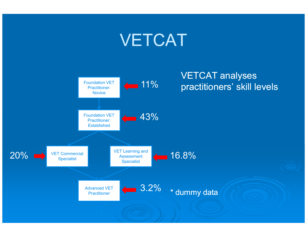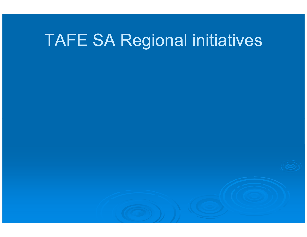# TAFE SA Regional initiatives

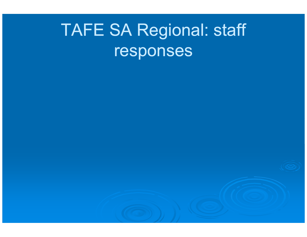# TAFE SA Regional: staff responses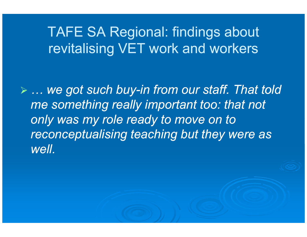### TAFE SA Regional: findings about revitalising VET work and workers

 $\triangleright$  ... we got such buy-in from our staff. That told  $\triangleright$ me something really important too: that not only was my role ready to move on to reconceptualising teaching but they were as well.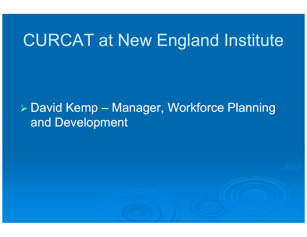## CURCAT at New England Institute

#### David Kemp – Manager, Workforce Planning and Development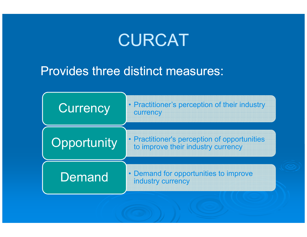## CURCAT

#### Provides three distinct measures:

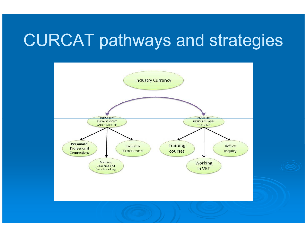## CURCAT pathways and strategies

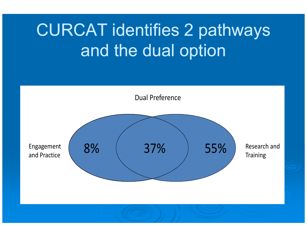# CURCAT identifies 2 pathways and the dual option

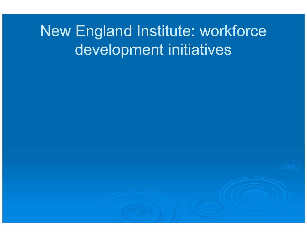## New England Institute: workforce development initiatives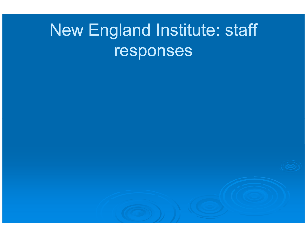# New England Institute: staff responses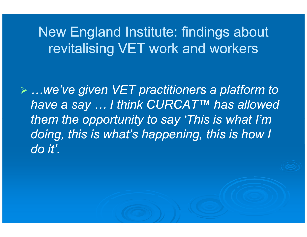#### New England Institute: findings about revitalising VET work and workers

 …we've given VET practitioners a platform to have a say … I think CURCAT™ has allowed them the opportunity to say 'This is what I'm doing, this is what's happening, this is how I do it'.